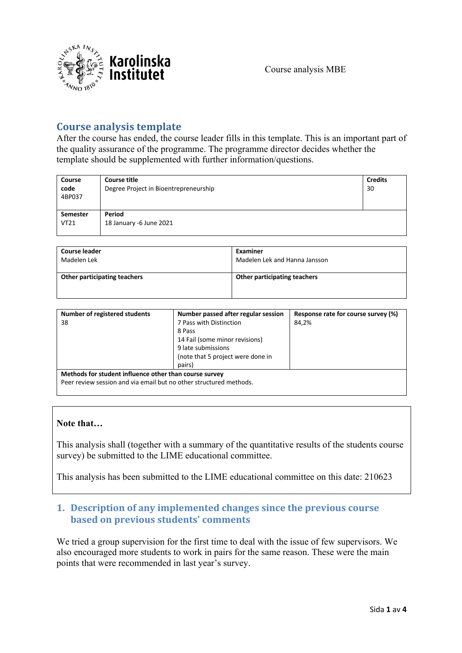

# **Course analysis template**

After the course has ended, the course leader fills in this template. This is an important part of the quality assurance of the programme. The programme director decides whether the template should be supplemented with further information/questions.

| Course<br>code<br>4BP037 | <b>Course title</b><br>Degree Project in Bioentrepreneurship | <b>Credits</b><br>30 |
|--------------------------|--------------------------------------------------------------|----------------------|
| Semester<br>VT21         | Period<br>18 January -6 June 2021                            |                      |

| <b>Course leader</b>         | Examiner                      |
|------------------------------|-------------------------------|
| Madelen Lek                  | Madelen Lek and Hanna Jansson |
| Other participating teachers | Other participating teachers  |

| Number of registered students                                      | Number passed after regular session | Response rate for course survey (%) |  |  |  |  |  |  |
|--------------------------------------------------------------------|-------------------------------------|-------------------------------------|--|--|--|--|--|--|
| 38                                                                 | 7 Pass with Distinction             | 84,2%                               |  |  |  |  |  |  |
|                                                                    | 8 Pass                              |                                     |  |  |  |  |  |  |
|                                                                    | 14 Fail (some minor revisions)      |                                     |  |  |  |  |  |  |
|                                                                    | 9 late submissions                  |                                     |  |  |  |  |  |  |
|                                                                    | (note that 5 project were done in   |                                     |  |  |  |  |  |  |
|                                                                    | pairs)                              |                                     |  |  |  |  |  |  |
| Methods for student influence other than course survey             |                                     |                                     |  |  |  |  |  |  |
| Peer review session and via email but no other structured methods. |                                     |                                     |  |  |  |  |  |  |

### **Note that…**

This analysis shall (together with a summary of the quantitative results of the students course survey) be submitted to the LIME educational committee.

This analysis has been submitted to the LIME educational committee on this date: 210623

## **1.** Description of any implemented changes since the previous course **based on previous students' comments**

We tried a group supervision for the first time to deal with the issue of few supervisors. We also encouraged more students to work in pairs for the same reason. These were the main points that were recommended in last year's survey.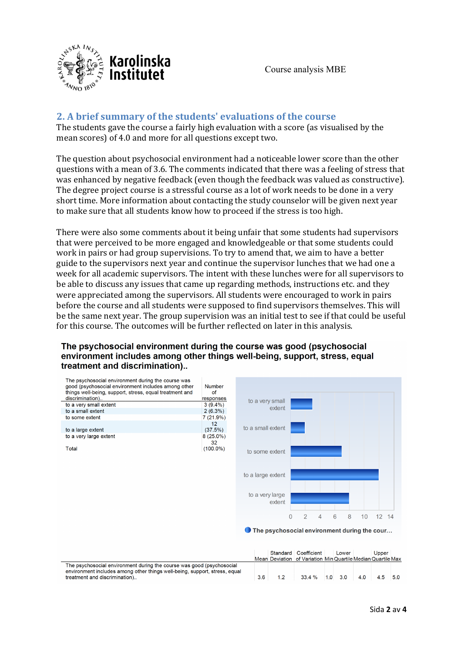

## **2. A brief summary of the students' evaluations of the course**

The students gave the course a fairly high evaluation with a score (as visualised by the mean scores) of 4.0 and more for all questions except two.

The question about psychosocial environment had a noticeable lower score than the other questions with a mean of 3.6. The comments indicated that there was a feeling of stress that was enhanced by negative feedback (even though the feedback was valued as constructive). The degree project course is a stressful course as a lot of work needs to be done in a very short time. More information about contacting the study counselor will be given next year to make sure that all students know how to proceed if the stress is too high.

There were also some comments about it being unfair that some students had supervisors that were perceived to be more engaged and knowledgeable or that some students could work in pairs or had group supervisions. To try to amend that, we aim to have a better guide to the supervisors next year and continue the supervisor lunches that we had one a week for all academic supervisors. The intent with these lunches were for all supervisors to be able to discuss any issues that came up regarding methods, instructions etc. and they were appreciated among the supervisors. All students were encouraged to work in pairs before the course and all students were supposed to find supervisors themselves. This will be the same next year. The group supervision was an initial test to see if that could be useful for this course. The outcomes will be further reflected on later in this analysis.

### The psychosocial environment during the course was good (psychosocial environment includes among other things well-being, support, stress, equal treatment and discrimination)...

The psychosocial environment during the course was good (psychosocial environment includes among other Number things well-being, support, stress, equal treatment and of discrimination). responses to a very small extent  $3(9.4\%)$ to a small extent  $2(6.3\%)$ to some extent  $7(21.9%)$  $12<sup>12</sup>$  $(37.5%)$ to a large extent  $8(25.0\%)$ to a very large extent 32  $(100.0\%)$ Total



**O** The psychosocial environment during the cour...

|                                                                                                                                                                                      |     |    | Standard Coefficient<br>Mean Deviation of Variation Min Quartile Median Quartile Max | Lower |     | Upper |     |
|--------------------------------------------------------------------------------------------------------------------------------------------------------------------------------------|-----|----|--------------------------------------------------------------------------------------|-------|-----|-------|-----|
| The psychosocial environment during the course was good (psychosocial<br>environment includes among other things well-being, support, stress, equal<br>treatment and discrimination) | 3.6 | 12 | $33.4\%$ 1.0 3.0                                                                     |       | 4.0 | 4.5   | 5.0 |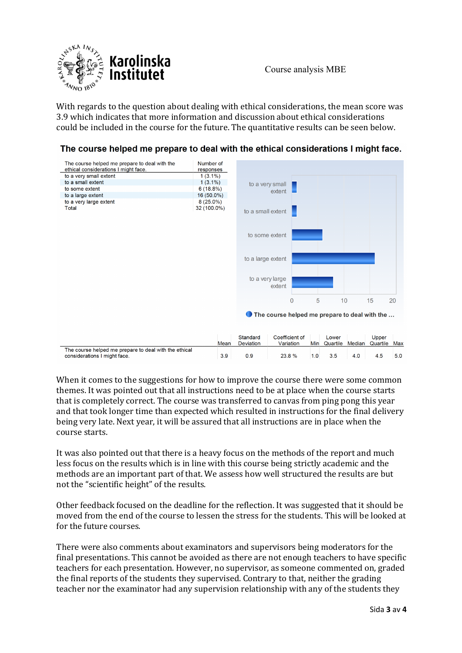

With regards to the question about dealing with ethical considerations, the mean score was 3.9 which indicates that more information and discussion about ethical considerations could be included in the course for the future. The quantitative results can be seen below.



## The course helped me prepare to deal with the ethical considerations I might face.

When it comes to the suggestions for how to improve the course there were some common themes. It was pointed out that all instructions need to be at place when the course starts that is completely correct. The course was transferred to canvas from ping pong this year and that took longer time than expected which resulted in instructions for the final delivery being very late. Next year, it will be assured that all instructions are in place when the course starts. 

It was also pointed out that there is a heavy focus on the methods of the report and much less focus on the results which is in line with this course being strictly academic and the methods are an important part of that. We assess how well structured the results are but not the "scientific height" of the results.

Other feedback focused on the deadline for the reflection. It was suggested that it should be moved from the end of the course to lessen the stress for the students. This will be looked at for the future courses.

There were also comments about examinators and supervisors being moderators for the final presentations. This cannot be avoided as there are not enough teachers to have specific teachers for each presentation. However, no supervisor, as someone commented on, graded the final reports of the students they supervised. Contrary to that, neither the grading teacher nor the examinator had any supervision relationship with any of the students they